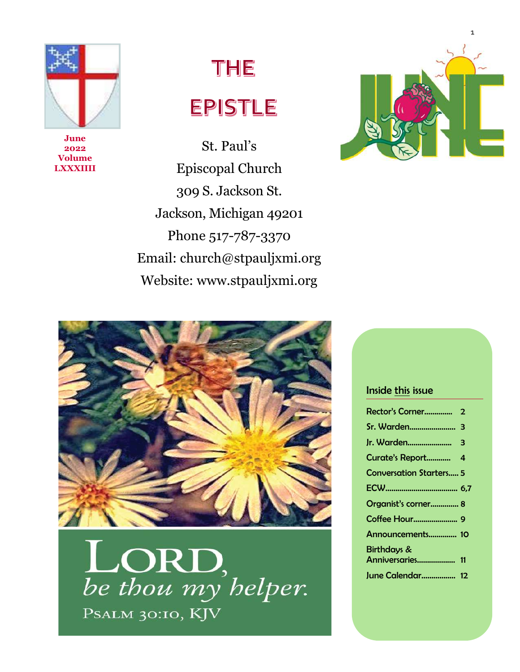

**June 2022 Volume LXXXIIII**

# THE EPISTLE

St. Paul's Episcopal Church 309 S. Jackson St. Jackson, Michigan 49201 Phone 517-787-3370 Email: church@stpauljxmi.org Website: www.stpauljxmi.org





be thou my helper. PSALM 30:10, KJV

#### Inside this issue

| <b>Conversation Starters 5</b> |  |
|--------------------------------|--|
|                                |  |
| Organist's corner 8            |  |
|                                |  |
| Announcements 10               |  |
| <b>Birthdays &amp;</b>         |  |
| Anniversaries 11               |  |
| June Calendar 12               |  |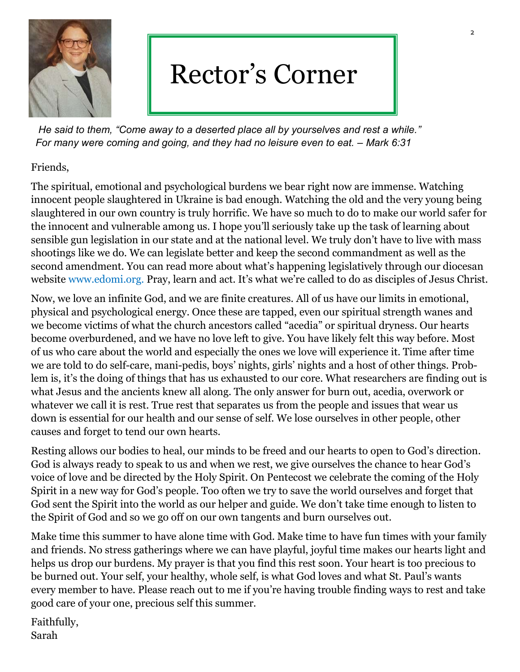

## Rector's Corner

*He said to them, "Come away to a deserted place all by yourselves and rest a while." For many were coming and going, and they had no leisure even to eat. – Mark 6:31*

#### Friends,

The spiritual, emotional and psychological burdens we bear right now are immense. Watching innocent people slaughtered in Ukraine is bad enough. Watching the old and the very young being slaughtered in our own country is truly horrific. We have so much to do to make our world safer for the innocent and vulnerable among us. I hope you'll seriously take up the task of learning about sensible gun legislation in our state and at the national level. We truly don't have to live with mass shootings like we do. We can legislate better and keep the second commandment as well as the second amendment. You can read more about what's happening legislatively through our diocesan website www.edomi.org. Pray, learn and act. It's what we're called to do as disciples of Jesus Christ.

Now, we love an infinite God, and we are finite creatures. All of us have our limits in emotional, physical and psychological energy. Once these are tapped, even our spiritual strength wanes and we become victims of what the church ancestors called "acedia" or spiritual dryness. Our hearts become overburdened, and we have no love left to give. You have likely felt this way before. Most of us who care about the world and especially the ones we love will experience it. Time after time we are told to do self-care, mani-pedis, boys' nights, girls' nights and a host of other things. Problem is, it's the doing of things that has us exhausted to our core. What researchers are finding out is what Jesus and the ancients knew all along. The only answer for burn out, acedia, overwork or whatever we call it is rest. True rest that separates us from the people and issues that wear us down is essential for our health and our sense of self. We lose ourselves in other people, other causes and forget to tend our own hearts.

Resting allows our bodies to heal, our minds to be freed and our hearts to open to God's direction. God is always ready to speak to us and when we rest, we give ourselves the chance to hear God's voice of love and be directed by the Holy Spirit. On Pentecost we celebrate the coming of the Holy Spirit in a new way for God's people. Too often we try to save the world ourselves and forget that God sent the Spirit into the world as our helper and guide. We don't take time enough to listen to the Spirit of God and so we go off on our own tangents and burn ourselves out.

Make time this summer to have alone time with God. Make time to have fun times with your family and friends. No stress gatherings where we can have playful, joyful time makes our hearts light and helps us drop our burdens. My prayer is that you find this rest soon. Your heart is too precious to be burned out. Your self, your healthy, whole self, is what God loves and what St. Paul's wants every member to have. Please reach out to me if you're having trouble finding ways to rest and take good care of your one, precious self this summer.

Faithfully, Sarah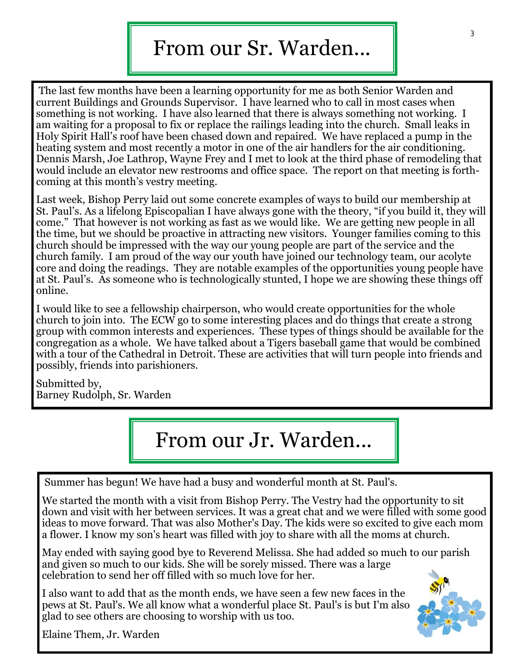## From our Sr. Warden...

The last few months have been a learning opportunity for me as both Senior Warden and current Buildings and Grounds Supervisor. I have learned who to call in most cases when something is not working. I have also learned that there is always something not working. I am waiting for a proposal to fix or replace the railings leading into the church. Small leaks in Holy Spirit Hall's roof have been chased down and repaired. We have replaced a pump in the heating system and most recently a motor in one of the air handlers for the air conditioning. Dennis Marsh, Joe Lathrop, Wayne Frey and I met to look at the third phase of remodeling that would include an elevator new restrooms and office space. The report on that meeting is forthcoming at this month's vestry meeting.

Last week, Bishop Perry laid out some concrete examples of ways to build our membership at St. Paul's. As a lifelong Episcopalian I have always gone with the theory, "if you build it, they will come." That however is not working as fast as we would like. We are getting new people in all the time, but we should be proactive in attracting new visitors. Younger families coming to this church should be impressed with the way our young people are part of the service and the church family. I am proud of the way our youth have joined our technology team, our acolyte core and doing the readings. They are notable examples of the opportunities young people have at St. Paul's. As someone who is technologically stunted, I hope we are showing these things off online.

I would like to see a fellowship chairperson, who would create opportunities for the whole church to join into. The ECW go to some interesting places and do things that create a strong group with common interests and experiences. These types of things should be available for the congregation as a whole. We have talked about a Tigers baseball game that would be combined with a tour of the Cathedral in Detroit. These are activities that will turn people into friends and possibly, friends into parishioners.

Submitted by, Barney Rudolph, Sr. Warden

## From our Jr. Warden...

Summer has begun! We have had a busy and wonderful month at St. Paul's.

We started the month with a visit from Bishop Perry. The Vestry had the opportunity to sit down and visit with her between services. It was a great chat and we were filled with some good ideas to move forward. That was also Mother's Day. The kids were so excited to give each mom a flower. I know my son's heart was filled with joy to share with all the moms at church.

May ended with saying good bye to Reverend Melissa. She had added so much to our parish and given so much to our kids. She will be sorely missed. There was a large celebration to send her off filled with so much love for her.

I also want to add that as the month ends, we have seen a few new faces in the pews at St. Paul's. We all know what a wonderful place St. Paul's is but I'm also glad to see others are choosing to worship with us too.



Elaine Them, Jr. Warden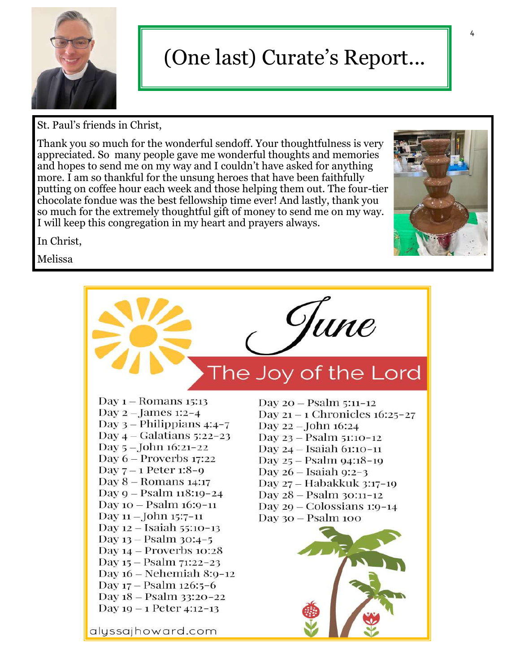

## (One last) Curate's Report...

St. Paul's friends in Christ,

Thank you so much for the wonderful sendoff. Your thoughtfulness is very appreciated. So many people gave me wonderful thoughts and memories and hopes to send me on my way and I couldn't have asked for anything more. I am so thankful for the unsung heroes that have been faithfully putting on coffee hour each week and those helping them out. The four-tier chocolate fondue was the best fellowship time ever! And lastly, thank you so much for the extremely thoughtful gift of money to send me on my way. I will keep this congregation in my heart and prayers always.

In Christ,

Melissa

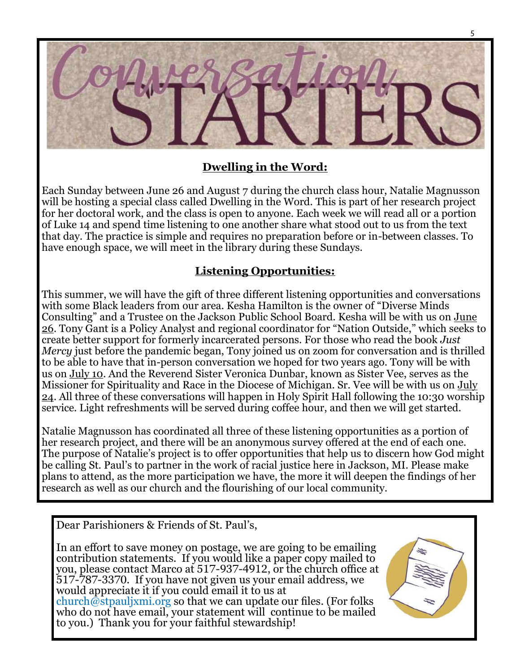

#### **Dwelling in the Word:**

Each Sunday between June 26 and August 7 during the church class hour, Natalie Magnusson will be hosting a special class called Dwelling in the Word. This is part of her research project for her doctoral work, and the class is open to anyone. Each week we will read all or a portion of Luke 14 and spend time listening to one another share what stood out to us from the text that day. The practice is simple and requires no preparation before or in-between classes. To have enough space, we will meet in the library during these Sundays.

#### **Listening Opportunities:**

This summer, we will have the gift of three different listening opportunities and conversations with some Black leaders from our area. Kesha Hamilton is the owner of "Diverse Minds Consulting" and a Trustee on the Jackson Public School Board. Kesha will be with us on June 26. Tony Gant is a Policy Analyst and regional coordinator for "Nation Outside," which seeks to create better support for formerly incarcerated persons. For those who read the book *Just Mercy* just before the pandemic began, Tony joined us on zoom for conversation and is thrilled to be able to have that in-person conversation we hoped for two years ago. Tony will be with us on July 10. And the Reverend Sister Veronica Dunbar, known as Sister Vee, serves as the Missioner for Spirituality and Race in the Diocese of Michigan. Sr. Vee will be with us on July 24. All three of these conversations will happen in Holy Spirit Hall following the 10:30 worship service. Light refreshments will be served during coffee hour, and then we will get started.

Natalie Magnusson has coordinated all three of these listening opportunities as a portion of her research project, and there will be an anonymous survey offered at the end of each one. The purpose of Natalie's project is to offer opportunities that help us to discern how God might be calling St. Paul's to partner in the work of racial justice here in Jackson, MI. Please make plans to attend, as the more participation we have, the more it will deepen the findings of her research as well as our church and the flourishing of our local community.

Dear Parishioners & Friends of St. Paul's,

In an effort to save money on postage, we are going to be emailing contribution statements. If you would like a paper copy mailed to you, please contact Marco at 517-937-4912, or the church office at 517-787-3370. If you have not given us your email address, we would appreciate it if you could email it to us at church@stpauljxmi.org so that we can update our files. (For folks who do not have email, your statement will continue to be mailed to you.) Thank you for your faithful stewardship!

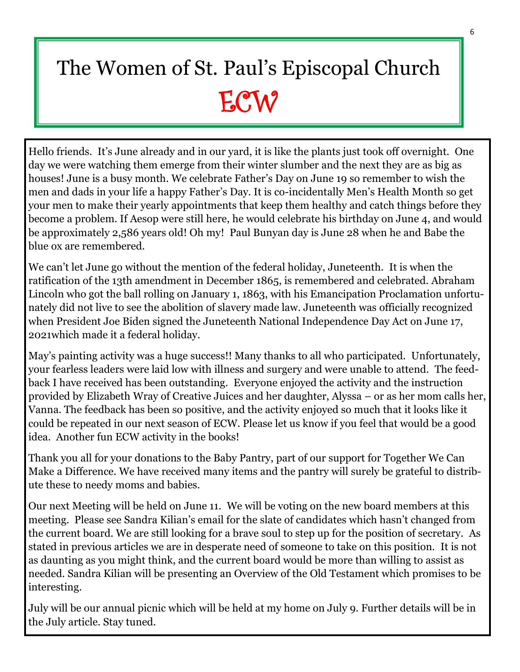# The Women of St. Paul's Episcopal Church ECW<sup></sup>

Hello friends. It's June already and in our yard, it is like the plants just took off overnight. One day we were watching them emerge from their winter slumber and the next they are as big as houses! June is a busy month. We celebrate Father's Day on June 19 so remember to wish the men and dads in your life a happy Father's Day. It is co-incidentally Men's Health Month so get your men to make their yearly appointments that keep them healthy and catch things before they become a problem. If Aesop were still here, he would celebrate his birthday on June 4, and would be approximately 2,586 years old! Oh my! Paul Bunyan day is June 28 when he and Babe the blue ox are remembered.

We can't let June go without the mention of the federal holiday, Juneteenth. It is when the ratification of the 13th amendment in December 1865, is remembered and celebrated. Abraham Lincoln who got the ball rolling on January 1, 1863, with his Emancipation Proclamation unfortunately did not live to see the abolition of slavery made law. Juneteenth was officially recognized when President Joe Biden signed the Juneteenth National Independence Day Act on June 17, 2021which made it a federal holiday.

May's painting activity was a huge success!! Many thanks to all who participated. Unfortunately, your fearless leaders were laid low with illness and surgery and were unable to attend. The feedback I have received has been outstanding. Everyone enjoyed the activity and the instruction provided by Elizabeth Wray of Creative Juices and her daughter, Alyssa – or as her mom calls her, Vanna. The feedback has been so positive, and the activity enjoyed so much that it looks like it could be repeated in our next season of ECW. Please let us know if you feel that would be a good idea. Another fun ECW activity in the books!

Thank you all for your donations to the Baby Pantry, part of our support for Together We Can Make a Difference. We have received many items and the pantry will surely be grateful to distribute these to needy moms and babies.

Our next Meeting will be held on June 11. We will be voting on the new board members at this meeting. Please see Sandra Kilian's email for the slate of candidates which hasn't changed from the current board. We are still looking for a brave soul to step up for the position of secretary. As stated in previous articles we are in desperate need of someone to take on this position. It is not as daunting as you might think, and the current board would be more than willing to assist as needed. Sandra Kilian will be presenting an Overview of the Old Testament which promises to be interesting.

July will be our annual picnic which will be held at my home on July 9. Further details will be in the July article. Stay tuned.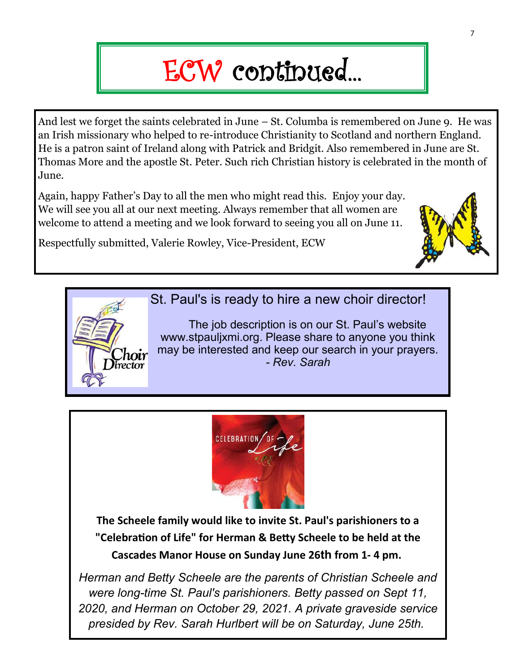# ECW continued...

And lest we forget the saints celebrated in June – St. Columba is remembered on June 9. He was an Irish missionary who helped to re-introduce Christianity to Scotland and northern England. He is a patron saint of Ireland along with Patrick and Bridgit. Also remembered in June are St. Thomas More and the apostle St. Peter. Such rich Christian history is celebrated in the month of June.

Again, happy Father's Day to all the men who might read this. Enjoy your day. We will see you all at our next meeting. Always remember that all women are welcome to attend a meeting and we look forward to seeing you all on June 11.

Respectfully submitted, Valerie Rowley, Vice-President, ECW





St. Paul's is ready to hire a new choir director!

 The job description is on our St. Paul's website www.stpauljxmi.org. Please share to anyone you think may be interested and keep our search in your prayers. *- Rev. Sarah*



**The Scheele family would like to invite St. Paul's parishioners to a "Celebration of Life" for Herman & Betty Scheele to be held at the Cascades Manor House on Sunday June 26th from 1- 4 pm.**

*Herman and Betty Scheele are the parents of Christian Scheele and were long-time St. Paul's parishioners. Betty passed on Sept 11, 2020, and Herman on October 29, 2021. A private graveside service presided by Rev. Sarah Hurlbert will be on Saturday, June 25th.*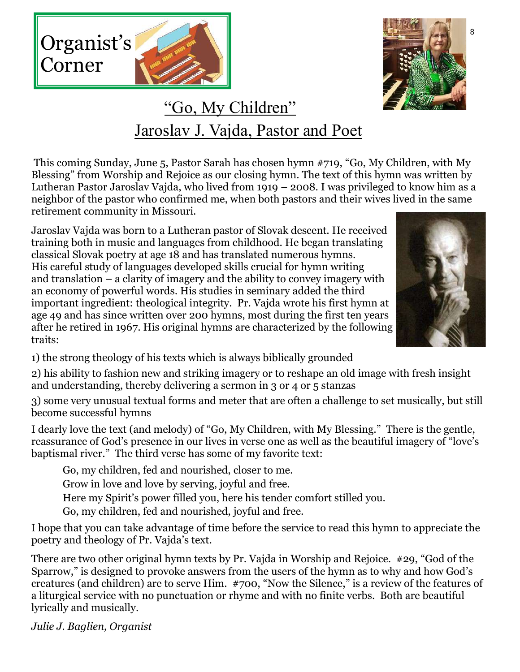



### "Go, My Children" Jaroslav J. Vajda, Pastor and Poet

This coming Sunday, June 5, Pastor Sarah has chosen hymn #719, "Go, My Children, with My Blessing" from Worship and Rejoice as our closing hymn. The text of this hymn was written by Lutheran Pastor Jaroslav Vajda, who lived from 1919 – 2008. I was privileged to know him as a neighbor of the pastor who confirmed me, when both pastors and their wives lived in the same retirement community in Missouri.

Jaroslav Vajda was born to a Lutheran pastor of Slovak descent. He received training both in music and languages from childhood. He began translating classical Slovak poetry at age 18 and has translated numerous hymns. His careful study of languages developed skills crucial for hymn writing and translation – a clarity of imagery and the ability to convey imagery with an economy of powerful words. His studies in seminary added the third important ingredient: theological integrity. Pr. Vajda wrote his first hymn at age 49 and has since written over 200 hymns, most during the first ten years after he retired in 1967. His original hymns are characterized by the following traits:



1) the strong theology of his texts which is always biblically grounded

2) his ability to fashion new and striking imagery or to reshape an old image with fresh insight and understanding, thereby delivering a sermon in 3 or 4 or 5 stanzas

3) some very unusual textual forms and meter that are often a challenge to set musically, but still become successful hymns

I dearly love the text (and melody) of "Go, My Children, with My Blessing." There is the gentle, reassurance of God's presence in our lives in verse one as well as the beautiful imagery of "love's baptismal river." The third verse has some of my favorite text:

Go, my children, fed and nourished, closer to me.

Grow in love and love by serving, joyful and free.

Here my Spirit's power filled you, here his tender comfort stilled you.

Go, my children, fed and nourished, joyful and free.

I hope that you can take advantage of time before the service to read this hymn to appreciate the poetry and theology of Pr. Vajda's text.

There are two other original hymn texts by Pr. Vajda in Worship and Rejoice. #29, "God of the Sparrow," is designed to provoke answers from the users of the hymn as to why and how God's creatures (and children) are to serve Him. #700, "Now the Silence," is a review of the features of a liturgical service with no punctuation or rhyme and with no finite verbs. Both are beautiful lyrically and musically.

*Julie J. Baglien, Organist*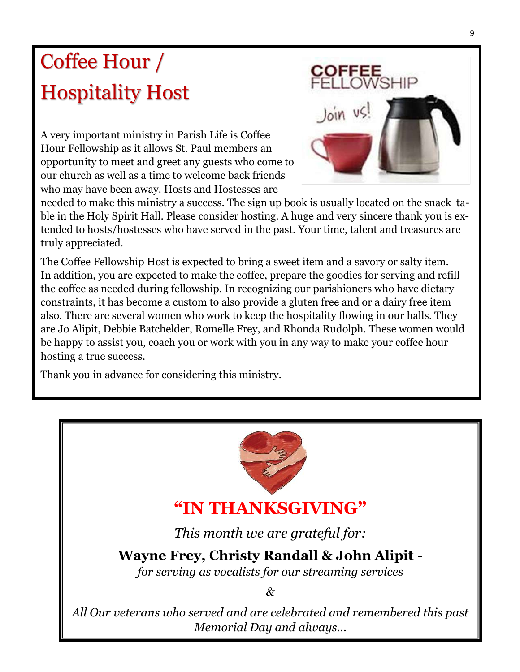## Coffee Hour / Hospitality Host

A very important ministry in Parish Life is Coffee Hour Fellowship as it allows St. Paul members an opportunity to meet and greet any guests who come to our church as well as a time to welcome back friends who may have been away. Hosts and Hostesses are



needed to make this ministry a success. The sign up book is usually located on the snack table in the Holy Spirit Hall. Please consider hosting. A huge and very sincere thank you is extended to hosts/hostesses who have served in the past. Your time, talent and treasures are truly appreciated.

The Coffee Fellowship Host is expected to bring a sweet item and a savory or salty item. In addition, you are expected to make the coffee, prepare the goodies for serving and refill the coffee as needed during fellowship. In recognizing our parishioners who have dietary constraints, it has become a custom to also provide a gluten free and or a dairy free item also. There are several women who work to keep the hospitality flowing in our halls. They are Jo Alipit, Debbie Batchelder, Romelle Frey, and Rhonda Rudolph. These women would be happy to assist you, coach you or work with you in any way to make your coffee hour hosting a true success.

Thank you in advance for considering this ministry.

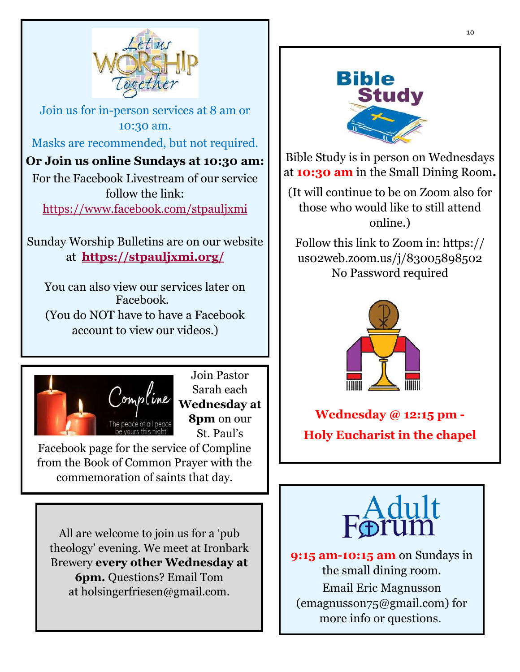

Join us for in-person services at 8 am or 10:30 am. Masks are recommended, but not required.

**Or Join us online Sundays at 10:30 am:** For the Facebook Livestream of our service follow the link: <https://www.facebook.com/stpauljxmi>

Sunday Worship Bulletins are on our website at **<https://stpauljxmi.org/>**

You can also view our services later on Facebook. (You do NOT have to have a Facebook account to view our videos.)



Join Pastor Sarah each **Wednesday at 8pm** on our St. Paul's

Facebook page for the service of Compline from the Book of Common Prayer with the commemoration of saints that day.

All are welcome to join us for a 'pub theology' evening. We meet at Ironbark Brewery **every other Wednesday at 6pm.** Questions? Email Tom at holsingerfriesen@gmail.com.



Bible Study is in person on Wednesdays at **10:30 am** in the Small Dining Room**.** 

(It will continue to be on Zoom also for those who would like to still attend online.)

Follow this link to Zoom in: https:// us02web.zoom.us/j/83005898502 No Password required



**Wednesday @ 12:15 pm - Holy Eucharist in the chapel** 



**9:15 am-10:15 am** on Sundays in the small dining room. Email Eric Magnusson (emagnusson75@gmail.com) for more info or questions.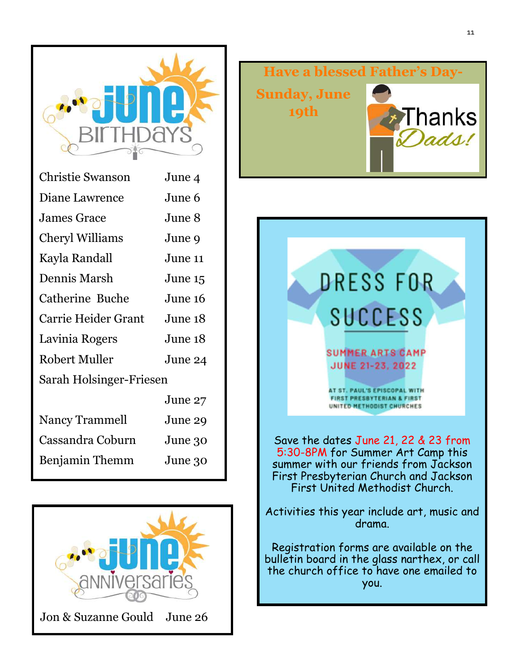

| <b>Christie Swanson</b> | June 4  |  |  |  |  |
|-------------------------|---------|--|--|--|--|
| Diane Lawrence          | June 6  |  |  |  |  |
| <b>James Grace</b>      | June 8  |  |  |  |  |
| Cheryl Williams         | June 9  |  |  |  |  |
| Kayla Randall           | June 11 |  |  |  |  |
| Dennis Marsh            | June 15 |  |  |  |  |
| Catherine Buche         | June 16 |  |  |  |  |
| Carrie Heider Grant     | June 18 |  |  |  |  |
| Lavinia Rogers          | June 18 |  |  |  |  |
| Robert Muller           | June 24 |  |  |  |  |
| Sarah Holsinger-Friesen |         |  |  |  |  |
|                         | June 27 |  |  |  |  |
| Nancy Trammell          | June 29 |  |  |  |  |
| Cassandra Coburn        | June 30 |  |  |  |  |
| Benjamin Themm          | June 30 |  |  |  |  |
|                         |         |  |  |  |  |







Registration forms are available on the bulletin board in the glass narthex, or call the church office to have one emailed to you.